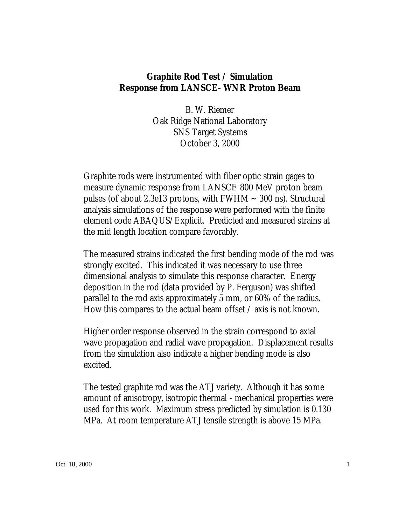## **Graphite Rod Test / Simulation Response from LANSCE- WNR Proton Beam**

B. W. Riemer Oak Ridge National Laboratory SNS Target Systems October 3, 2000

Graphite rods were instrumented with fiber optic strain gages to measure dynamic response from LANSCE 800 MeV proton beam pulses (of about 2.3e13 protons, with  $FWHM \sim 300$  ns). Structural analysis simulations of the response were performed with the finite element code ABAQUS/Explicit. Predicted and measured strains at the mid length location compare favorably.

The measured strains indicated the first bending mode of the rod was strongly excited. This indicated it was necessary to use three dimensional analysis to simulate this response character. Energy deposition in the rod (data provided by P. Ferguson) was shifted parallel to the rod axis approximately 5 mm, or 60% of the radius. How this compares to the actual beam offset / axis is not known.

Higher order response observed in the strain correspond to axial wave propagation and radial wave propagation. Displacement results from the simulation also indicate a higher bending mode is also excited.

The tested graphite rod was the ATJ variety. Although it has some amount of anisotropy, isotropic thermal - mechanical properties were used for this work. Maximum stress predicted by simulation is 0.130 MPa. At room temperature ATJ tensile strength is above 15 MPa.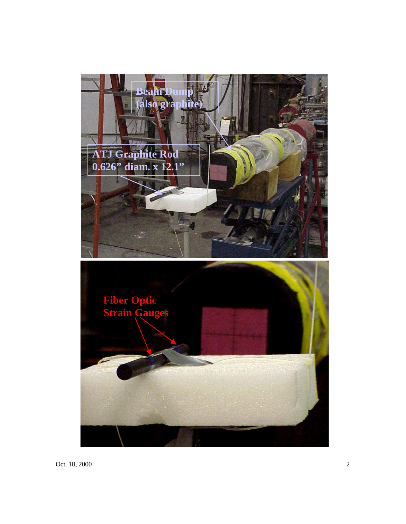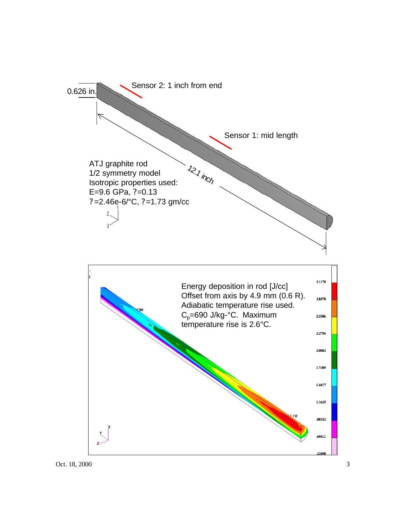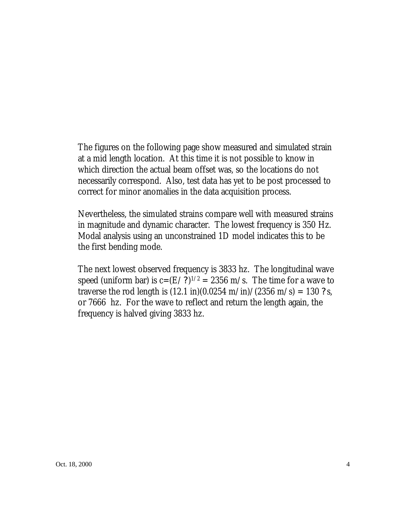The figures on the following page show measured and simulated strain at a mid length location. At this time it is not possible to know in which direction the actual beam offset was, so the locations do not necessarily correspond. Also, test data has yet to be post processed to correct for minor anomalies in the data acquisition process.

Nevertheless, the simulated strains compare well with measured strains in magnitude and dynamic character. The lowest frequency is 350 Hz. Modal analysis using an unconstrained 1D model indicates this to be the first bending mode.

The next lowest observed frequency is 3833 hz. The longitudinal wave speed (uniform bar) is  $c = (E/?)^{1/2} = 2356$  m/s. The time for a wave to traverse the rod length is  $(12.1 \text{ in})(0.0254 \text{ m/in})/(2356 \text{ m/s}) = 130 ? \text{s}$ , or 7666 hz. For the wave to reflect and return the length again, the frequency is halved giving 3833 hz.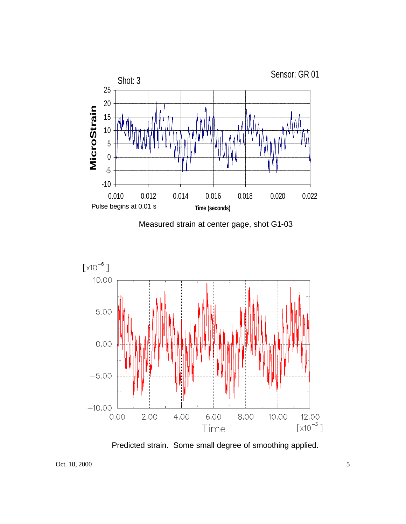

Measured strain at center gage, shot G1-03



Predicted strain. Some small degree of smoothing applied.

Oct. 18, 2000 5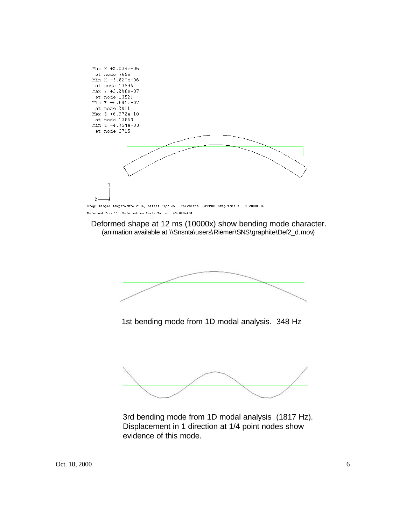

Deformed Var: U Deformation Scale Factor: +1.000e+04

Deformed shape at 12 ms (10000x) show bending mode character. (animation available at \\Snsnta\users\Riemer\SNS\graphite\Def2\_d.mov)



1st bending mode from 1D modal analysis. 348 Hz



3rd bending mode from 1D modal analysis (1817 Hz). Displacement in 1 direction at 1/4 point nodes show evidence of this mode.

Oct. 18, 2000 6